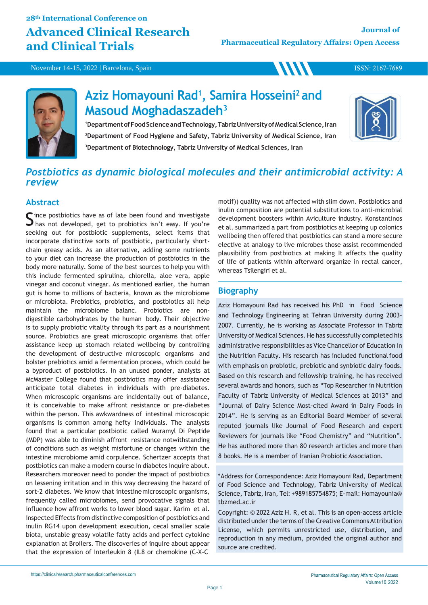## **28th International Conference on Advanced Clinical Research and Clinical Trials**

**WWW** 

July 13-14, 2022 | Vienna, Austria November 14-15, 2022 | Barcelona, Spain

ISSN: 2167-7689



# **Aziz Homayouni Rad<sup>1</sup> , Samira Hosseini<sup>2</sup>and Masoud Moghadaszadeh<sup>3</sup>**

<sup>1</sup>Department of Food Science and Technology, Tabriz University of Medical Science, Iran **<sup>2</sup>Department of Food Hygiene and Safety, Tabriz University of Medical Science, Iran <sup>3</sup>Department of Biotechnology, Tabriz University of Medical Sciences, Iran**



## *Postbiotics as dynamic biological molecules and their antimicrobial activity: A review*

### **Abstract**

ince postbiotics have as of late been found and investigate  $\Box$  has not developed, get to probiotics isn't easy. If you're seeking out for postbiotic supplements, select items that incorporate distinctive sorts of postbiotic, particularly shortchain greasy acids. As an alternative, adding some nutrients to your diet can increase the production of postbiotics in the body more naturally. Some of the best sources to help you with this include fermented spirulina, chlorella, aloe vera, apple vinegar and coconut vinegar. As mentioned earlier, the human gut is home to millions of bacteria, known as the microbiome or microbiota. Prebiotics, probiotics, and postbiotics all help maintain the microbiome balanc. Probiotics are nondigestible carbohydrates by the human body. Their objective is to supply probiotic vitality through its part as a nourishment source. Probiotics are great microscopic organisms that offer assistance keep up stomach related wellbeing by controlling the development of destructive microscopic organisms and bolster prebiotics amid a fermentation process, which could be a byproduct of postbiotics. In an unused ponder, analysts at McMaster College found that postbiotics may offer assistance anticipate total diabetes in individuals with pre-diabetes. When microscopic organisms are incidentally out of balance, it is conceivable to make affront resistance or pre-diabetes within the person. This awkwardness of intestinal microscopic organisms is common among hefty individuals. The analysts found that a particular postbiotic called Muramyl Di Peptide (MDP) was able to diminish affront resistance notwithstanding of conditions such as weight misfortune or changes within the intestine microbiome amid corpulence. Schertzer accepts that postbiotics can make a modern course in diabetes inquire about. Researchers moreover need to ponder the impact of postbiotics on lessening irritation and in this way decreasing the hazard of sort-2 diabetes. We know that intestinemicroscopic organisms, frequently called microbiomes, send provocative signals that influence how affront works to lower blood sugar. Karim et al. inspected Effects from distinctive composition of postbiotics and inulin RG14 upon development execution, cecal smaller scale biota, unstable greasy volatile fatty acids and perfect cytokine explanation at Broilers. The discoveries of inquire about appear that the expression of Interleukin 8 (IL8 or chemokine (C-X-C

motif)) quality was not affected with slim down. Postbiotics and inulin composition are potential substitutions to anti-microbial development boosters within Aviculture industry. Konstantinos et al. summarized a part from postbiotics at keeping up colonics wellbeing then offered that postbiotics can stand a more secure elective at analogy to live microbes those assist recommended plausibility from postbiotics at making It affects the quality of life of patients within afterward organize in rectal cancer, whereas Tsilengiri et al.

### **Biography**

Aziz Homayouni Rad has received his PhD in Food Science and Technology Engineering at Tehran University during 2003- 2007. Currently, he is working as Associate Professor in Tabriz University of Medical Sciences. He has successfully completed his administrative responsibilities as Vice Chancellor of Education in the Nutrition Faculty. His research has included functional food with emphasis on probiotic, prebiotic and synbiotic dairy foods. Based on this research and fellowship training, he has received several awards and honors, such as "Top Researcher in Nutrition Faculty of Tabriz University of Medical Sciences at 2013" and "Journal of Dairy Science Most-cited Award in Dairy Foods in 2014". He is serving as an Editorial Board Member of several reputed journals like Journal of Food Research and expert Reviewers for journals like "Food Chemistry" and "Nutrition". He has authored more than 80 research articles and more than 8 books. He is a member of Iranian Probiotic Association.

\*Address for Correspondence: Aziz Homayouni Rad, Department of Food Science and Technology, Tabriz University of Medical Science, Tabriz, Iran, Tel: +989185754875; E-mail: Homayounia@ tbzmed.ac.ir

Copyright: © 2022 Aziz H. R, et al. This is an open-access article distributed under the terms of the Creative Commons Attribution License, which permits unrestricted use, distribution, and reproduction in any medium, provided the original author and source are credited.